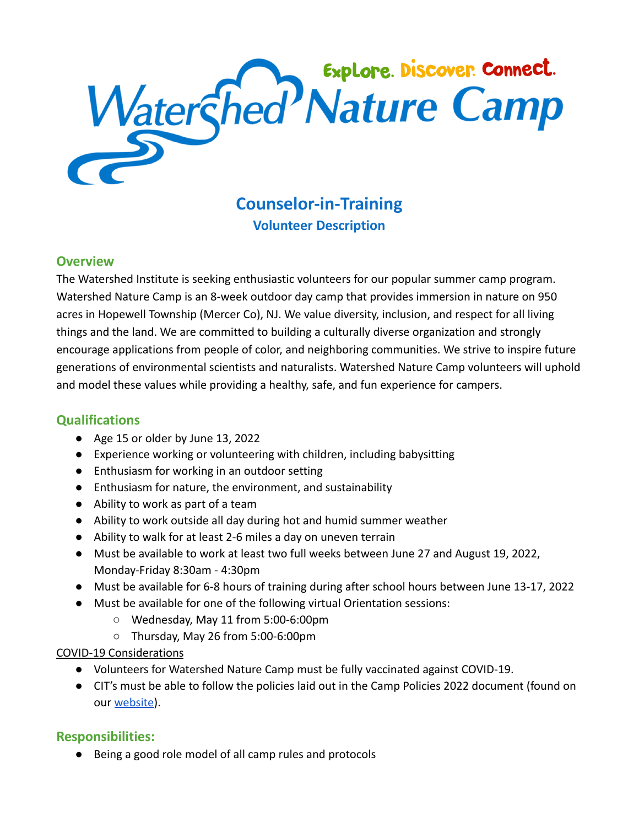

# **Counselor-in-Training Volunteer Description**

## **Overview**

The Watershed Institute is seeking enthusiastic volunteers for our popular summer camp program. Watershed Nature Camp is an 8-week outdoor day camp that provides immersion in nature on 950 acres in Hopewell Township (Mercer Co), NJ. We value diversity, inclusion, and respect for all living things and the land. We are committed to building a culturally diverse organization and strongly encourage applications from people of color, and neighboring communities. We strive to inspire future generations of environmental scientists and naturalists. Watershed Nature Camp volunteers will uphold and model these values while providing a healthy, safe, and fun experience for campers.

# **Qualifications**

- Age 15 or older by June 13, 2022
- Experience working or volunteering with children, including babysitting
- Enthusiasm for working in an outdoor setting
- Enthusiasm for nature, the environment, and sustainability
- Ability to work as part of a team
- Ability to work outside all day during hot and humid summer weather
- Ability to walk for at least 2-6 miles a day on uneven terrain
- Must be available to work at least two full weeks between June 27 and August 19, 2022, Monday-Friday 8:30am - 4:30pm
- Must be available for 6-8 hours of training during after school hours between June 13-17, 2022
- Must be available for one of the following virtual Orientation sessions:
	- Wednesday, May 11 from 5:00-6:00pm
	- Thursday, May 26 from 5:00-6:00pm

#### COVID-19 Considerations

- Volunteers for Watershed Nature Camp must be fully vaccinated against COVID-19.
- CIT's must be able to follow the policies laid out in the Camp Policies 2022 document (found on our [website\)](http://thewatershed.org/camp).

# **Responsibilities:**

● Being a good role model of all camp rules and protocols